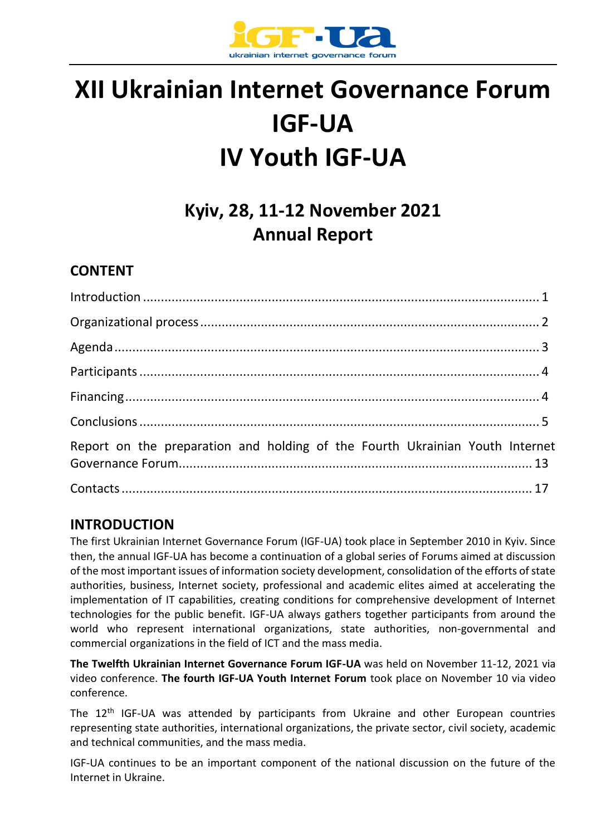

# **XII Ukrainian Internet Governance Forum IGF-UA IV Youth IGF-UA**

## **Kyiv, 28, 11-12 November 2021 Annual Report**

## **CONTENT**

| Report on the preparation and holding of the Fourth Ukrainian Youth Internet |  |
|------------------------------------------------------------------------------|--|
|                                                                              |  |

## **INTRODUCTION**

The first Ukrainian Internet Governance Forum (IGF-UA) took place in September 2010 in Kyiv. Since then, the annual IGF-UA has become a continuation of a global series of Forums aimed at discussion of the most important issues of information society development, consolidation of the efforts of state authorities, business, Internet society, professional and academic elites aimed at accelerating the implementation of IT capabilities, creating conditions for comprehensive development of Internet technologies for the public benefit. IGF-UA always gathers together participants from around the world who represent international organizations, state authorities, non-governmental and commercial organizations in the field of ICT and the mass media.

**The Twelfth Ukrainian Internet Governance Forum IGF-UA** was held on November 11-12, 2021 via video conference. **The fourth IGF-UA Youth Internet Forum** took place on November 10 via video conference.

The 12<sup>th</sup> IGF-UA was attended by participants from Ukraine and other European countries representing state authorities, international organizations, the private sector, civil society, academic and technical communities, and the mass media.

IGF-UA continues to be an important component of the national discussion on the future of the Internet in Ukraine.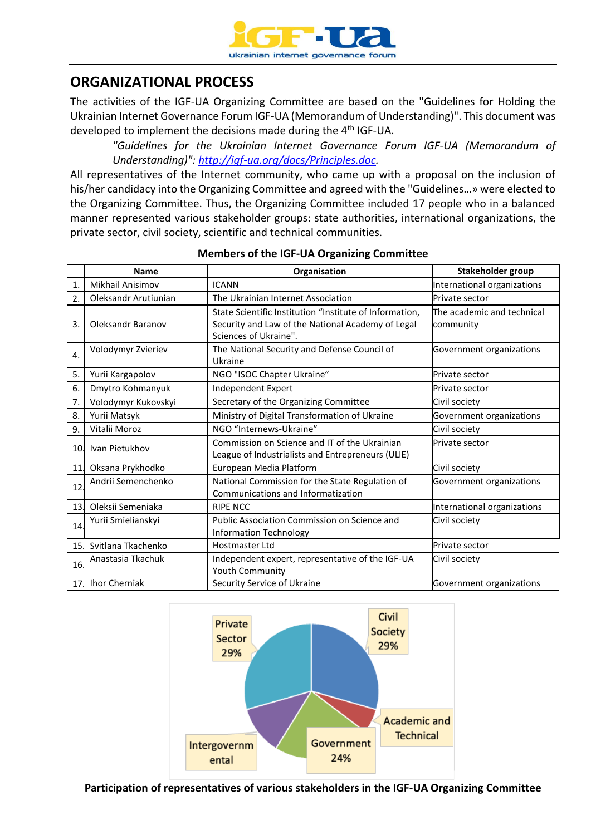

## **ORGANIZATIONAL PROCESS**

The activities of the IGF-UA Organizing Committee are based on the "Guidelines for Holding the Ukrainian Internet Governance Forum IGF-UA (Memorandum of Understanding)". This document was developed to implement the decisions made during the 4<sup>th</sup> IGF-UA.

*"Guidelines for the Ukrainian Internet Governance Forum IGF-UA (Memorandum of Understanding)": [http://igf-ua.org/docs/Principles.doc.](http://igf-ua.org/docs/Principles.doc)*

All representatives of the Internet community, who came up with a proposal on the inclusion of his/her candidacy into the Organizing Committee and agreed with the "Guidelines…» were elected to the Organizing Committee. Thus, the Organizing Committee included 17 people who in a balanced manner represented various stakeholder groups: state authorities, international organizations, the private sector, civil society, scientific and technical communities.

|                 | <b>Name</b>          | Organisation                                                                                                                          | Stakeholder group                       |  |
|-----------------|----------------------|---------------------------------------------------------------------------------------------------------------------------------------|-----------------------------------------|--|
| 1.              | Mikhail Anisimov     | <b>ICANN</b>                                                                                                                          | International organizations             |  |
| 2.              | Oleksandr Arutiunian | The Ukrainian Internet Association                                                                                                    | Private sector                          |  |
| 3.              | Oleksandr Baranov    | State Scientific Institution "Institute of Information,<br>Security and Law of the National Academy of Legal<br>Sciences of Ukraine". | The academic and technical<br>community |  |
| 4.              | Volodymyr Zvieriev   | The National Security and Defense Council of<br>Ukraine                                                                               | Government organizations                |  |
| 5.              | Yurii Kargapolov     | NGO "ISOC Chapter Ukraine"                                                                                                            | Private sector                          |  |
| 6.              | Dmytro Kohmanyuk     | Independent Expert                                                                                                                    | Private sector                          |  |
| 7.              | Volodymyr Kukovskyi  | Secretary of the Organizing Committee                                                                                                 | Civil society                           |  |
| 8.              | Yurii Matsyk         | Ministry of Digital Transformation of Ukraine                                                                                         | Government organizations                |  |
| 9.              | Vitalii Moroz        | NGO "Internews-Ukraine"                                                                                                               | Civil society                           |  |
| 10.             | Ivan Pietukhov       | Commission on Science and IT of the Ukrainian<br>League of Industrialists and Entrepreneurs (ULIE)                                    | Private sector                          |  |
| 11.             | Oksana Prykhodko     | European Media Platform                                                                                                               | Civil society                           |  |
| 12.             | Andrii Semenchenko   | National Commission for the State Regulation of<br>Communications and Informatization                                                 | Government organizations                |  |
| 13 <sub>1</sub> | Oleksii Semeniaka    | <b>RIPE NCC</b>                                                                                                                       | International organizations             |  |
| 14.             | Yurii Smielianskyi   | Public Association Commission on Science and<br><b>Information Technology</b>                                                         | Civil society                           |  |
| 15.             | Svitlana Tkachenko   | Hostmaster Ltd                                                                                                                        | Private sector                          |  |
| 16.             | Anastasia Tkachuk    | Independent expert, representative of the IGF-UA<br>Youth Community                                                                   | Civil society                           |  |
| 17.             | <b>Ihor Cherniak</b> | Security Service of Ukraine                                                                                                           | Government organizations                |  |

#### **Members of the IGF-UA Organizing Committee**



**Participation of representatives of various stakeholders in the IGF-UA Organizing Committee**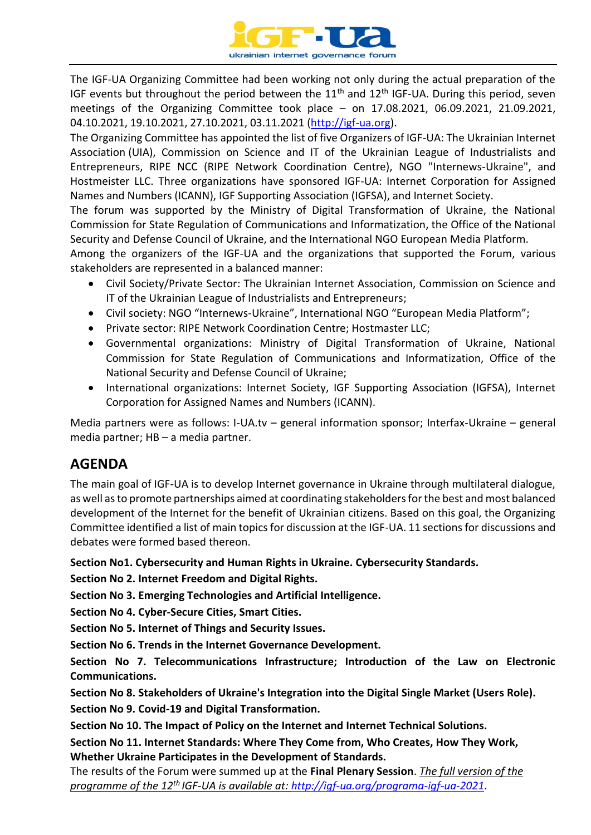

The IGF-UA Organizing Committee had been working not only during the actual preparation of the IGF events but throughout the period between the 11<sup>th</sup> and 12<sup>th</sup> IGF-UA. During this period, seven meetings of the Organizing Committee took place – on 17.08.2021, 06.09.2021, 21.09.2021, 04.10.2021, 19.10.2021, 27.10.2021, 03.11.2021 [\(http://igf-ua.org\)](http://igf-ua.org/).

The Organizing Committee has appointed the list of five Organizers of IGF-UA: The Ukrainian Internet Association (UIA), Commission on Science and IT of the Ukrainian League of Industrialists and Entrepreneurs, RIPE NCC (RIPE Network Coordination Centre), NGO "Internews-Ukraine", and Hostmeister LLC. Three organizations have sponsored IGF-UA: Internet Corporation for Assigned Names and Numbers (ICANN), IGF Supporting Association (IGFSA), and Internet Society.

The forum was supported by the Ministry of Digital Transformation of Ukraine, the National Commission for State Regulation of Communications and Informatization, the Office of the National Security and Defense Council of Ukraine, and the International NGO European Media Platform.

Among the organizers of the IGF-UA and the organizations that supported the Forum, various stakeholders are represented in a balanced manner:

- Civil Society/Private Sector: The Ukrainian Internet Association, Commission on Science and IT of the Ukrainian League of Industrialists and Entrepreneurs;
- Civil society: NGO "Internews-Ukraine", International NGO "European Media Platform";
- Private sector: RIPE Network Coordination Centre; Hostmaster LLC;
- Governmental organizations: Ministry of Digital Transformation of Ukraine, National Commission for State Regulation of Communications and Informatization, Office of the National Security and Defense Council of Ukraine;
- International organizations: Internet Society, IGF Supporting Association (IGFSA), Internet Corporation for Assigned Names and Numbers (ICANN).

Media partners were as follows: I-UA.tv – general information sponsor; Interfax-Ukraine – general media partner; НВ – a media partner.

## **AGENDA**

The main goal of IGF-UA is to develop Internet governance in Ukraine through multilateral dialogue, as well as to promote partnerships aimed at coordinating stakeholders for the best and most balanced development of the Internet for the benefit of Ukrainian citizens. Based on this goal, the Organizing Committee identified a list of main topics for discussion at the IGF-UA. 11 sections for discussions and debates were formed based thereon.

**Section No1. Cybersecurity and Human Rights in Ukraine. Cybersecurity Standards.**

**Section No 2. Internet Freedom and Digital Rights.**

**Section No 3. Emerging Technologies and Artificial Intelligence.**

**Section No 4. Cyber-Secure Cities, Smart Cities.**

**Section No 5. Internet of Things and Security Issues.**

**Section No 6. Trends in the Internet Governance Development.**

**Section No 7. Telecommunications Infrastructure; Introduction of the Law on Electronic Communications.**

**Section No 8. Stakeholders of Ukraine's Integration into the Digital Single Market (Users Role).**

**Section No 9. Covid-19 and Digital Transformation.**

**Section No 10. The Impact of Policy on the Internet and Internet Technical Solutions.**

**Section No 11. Internet Standards: Where They Come from, Who Creates, How They Work, Whether Ukraine Participates in the Development of Standards.**

The results of the Forum were summed up at the **Final Plenary Session**. *The full version of the programme of the 12th IGF-UA is available at: <http://igf-ua.org/programa-igf-ua-2021>*.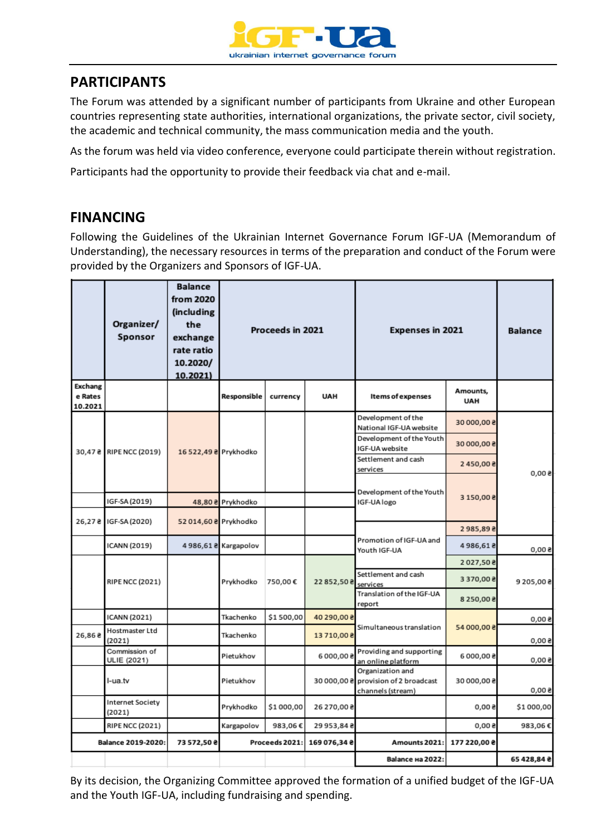

## **PARTICIPANTS**

The Forum was attended by a significant number of participants from Ukraine and other European countries representing state authorities, international organizations, the private sector, civil society, the academic and technical community, the mass communication media and the youth.

As the forum was held via video conference, everyone could participate therein without registration.

Participants had the opportunity to provide their feedback via chat and e-mail.

## **FINANCING**

Following the Guidelines of the Ukrainian Internet Governance Forum IGF-UA (Memorandum of Understanding), the necessary resources in terms of the preparation and conduct of the Forum were provided by the Organizers and Sponsors of IGF-UA.

|                                      | Organizer/<br>Sponsor             | <b>Balance</b><br>from 2020<br>(including)<br>the<br>exchange<br>rate ratio<br>10.2020/<br>10.2021 | Proceeds in 2021     |                |              | <b>Expenses in 2021</b>                                                       |                        | <b>Balance</b> |
|--------------------------------------|-----------------------------------|----------------------------------------------------------------------------------------------------|----------------------|----------------|--------------|-------------------------------------------------------------------------------|------------------------|----------------|
| <b>Exchang</b><br>e Rates<br>10.2021 |                                   |                                                                                                    | Responsible          | currency       | <b>UAH</b>   | Items of expenses                                                             | Amounts,<br><b>UAH</b> |                |
|                                      | 30,47 & RIPE NCC (2019)           | 16 522,49 & Prykhodko                                                                              |                      |                |              | Development of the<br>National IGF-UA website                                 | 30 000,00 8            | 500.0          |
|                                      |                                   |                                                                                                    |                      |                |              | Development of the Youth<br>IGF-UA website                                    | 30 000,00 \$           |                |
|                                      |                                   |                                                                                                    |                      |                |              | Settlement and cash<br>services                                               | 2450,00 8              |                |
|                                      |                                   |                                                                                                    |                      |                |              | Development of the Youth                                                      |                        |                |
|                                      | IGF-SA (2019)                     |                                                                                                    | 48,80 ₴ Prykhodko    |                |              | IGF-UA logo                                                                   | 3 150,00 8             |                |
|                                      | 26,27 & IGF-SA (2020)             | 52 014,60 & Prykhodko                                                                              |                      |                |              |                                                                               | 2985,892               |                |
|                                      | ICANN (2019)                      |                                                                                                    | 4986,61 & Kargapolov |                |              | Promotion of IGF-UA and<br>Youth IGF-UA                                       | 4986,612               | 0,008          |
|                                      |                                   |                                                                                                    |                      |                |              |                                                                               | 2027,50 %              |                |
|                                      | <b>RIPE NCC (2021)</b>            |                                                                                                    | Prykhodko            | 750,00€        | 22852,50 8   | Settlement and cash<br>services                                               | 3370,00 8              | 9 205,00 8     |
|                                      |                                   |                                                                                                    |                      |                |              | Translation of the IGF-UA<br>report                                           | 8 250,00 8             |                |
|                                      | ICANN (2021)                      |                                                                                                    | Tkachenko            | \$1500,00      | 40 290,00 8  |                                                                               |                        | 0,008          |
| 26,862                               | Hostmaster Ltd<br>(2021)          |                                                                                                    | Tkachenko            |                | 13710,008    | Simultaneous translation                                                      | 54 000,00 8            | 0,008          |
|                                      | Commission of<br>ULIE (2021)      |                                                                                                    | Pietukhov            |                | 6000,008     | Providing and supporting<br>an online platform                                | 6000,008               | 500,0          |
|                                      | l-ua.tv                           |                                                                                                    | Pietukhov            |                |              | Organization and<br>30 000,00 a provision of 2 broadcast<br>channels (stream) | 30 000,00 8            | 6,008          |
|                                      | <b>Internet Society</b><br>(2021) |                                                                                                    | Prykhodko            | \$1000,00      | 26 270,00 8  |                                                                               | 6,008                  | \$1000,00      |
|                                      | <b>RIPE NCC (2021)</b>            |                                                                                                    | Kargapolov           | 983,06€        | 29 953,84 8  |                                                                               | 0.008                  | 983,06€        |
| <b>Balance 2019-2020:</b>            |                                   | 73 572,50 ₴                                                                                        |                      | Proceeds 2021: | 169 076,34 & | Amounts 2021:                                                                 | 177 220,00 ₴           |                |
|                                      |                                   |                                                                                                    |                      |                |              | Balance на 2022:                                                              |                        | 65 428,84 &    |

By its decision, the Organizing Committee approved the formation of a unified budget of the IGF-UA and the Youth IGF-UA, including fundraising and spending.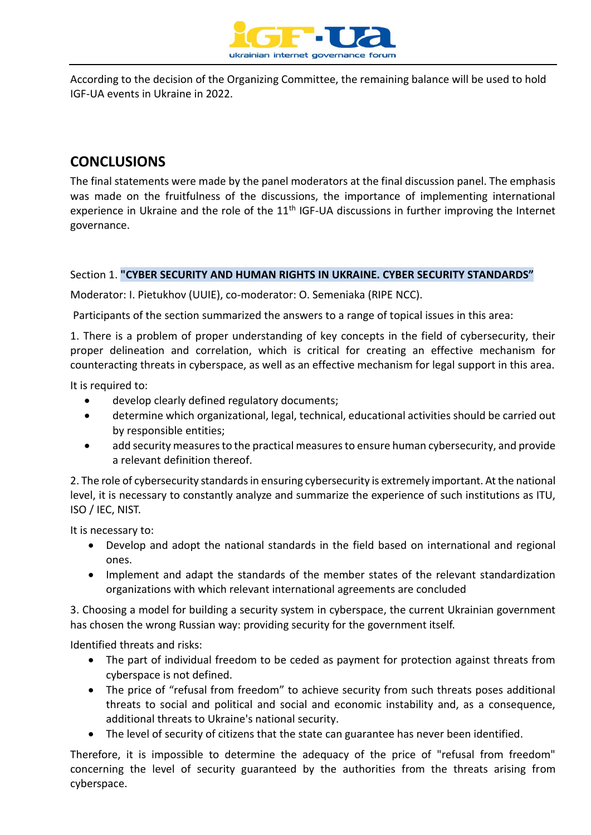

According to the decision of the Organizing Committee, the remaining balance will be used to hold IGF-UA events in Ukraine in 2022.

## **CONCLUSIONS**

The final statements were made by the panel moderators at the final discussion panel. The emphasis was made on the fruitfulness of the discussions, the importance of implementing international experience in Ukraine and the role of the  $11<sup>th</sup>$  IGF-UA discussions in further improving the Internet governance.

#### Section 1. **"CYBER SECURITY AND HUMAN RIGHTS IN UKRAINE. CYBER SECURITY STANDARDS"**

Moderator: I. Pietukhov (UUIE), co-moderator: O. Semeniaka (RIPE NCC).

Participants of the section summarized the answers to a range of topical issues in this area:

1. There is a problem of proper understanding of key concepts in the field of cybersecurity, their proper delineation and correlation, which is critical for creating an effective mechanism for counteracting threats in cyberspace, as well as an effective mechanism for legal support in this area.

It is required to:

- develop clearly defined regulatory documents;
- determine which organizational, legal, technical, educational activities should be carried out by responsible entities;
- add security measures to the practical measures to ensure human cybersecurity, and provide a relevant definition thereof.

2. The role of cybersecurity standards in ensuring cybersecurity is extremely important. At the national level, it is necessary to constantly analyze and summarize the experience of such institutions as ITU, ISO / IEC, NIST.

It is necessary to:

- Develop and adopt the national standards in the field based on international and regional ones.
- Implement and adapt the standards of the member states of the relevant standardization organizations with which relevant international agreements are concluded

3. Choosing a model for building a security system in cyberspace, the current Ukrainian government has chosen the wrong Russian way: providing security for the government itself.

Identified threats and risks:

- The part of individual freedom to be ceded as payment for protection against threats from cyberspace is not defined.
- The price of "refusal from freedom" to achieve security from such threats poses additional threats to social and political and social and economic instability and, as a consequence, additional threats to Ukraine's national security.
- The level of security of citizens that the state can guarantee has never been identified.

Therefore, it is impossible to determine the adequacy of the price of "refusal from freedom" concerning the level of security guaranteed by the authorities from the threats arising from cyberspace.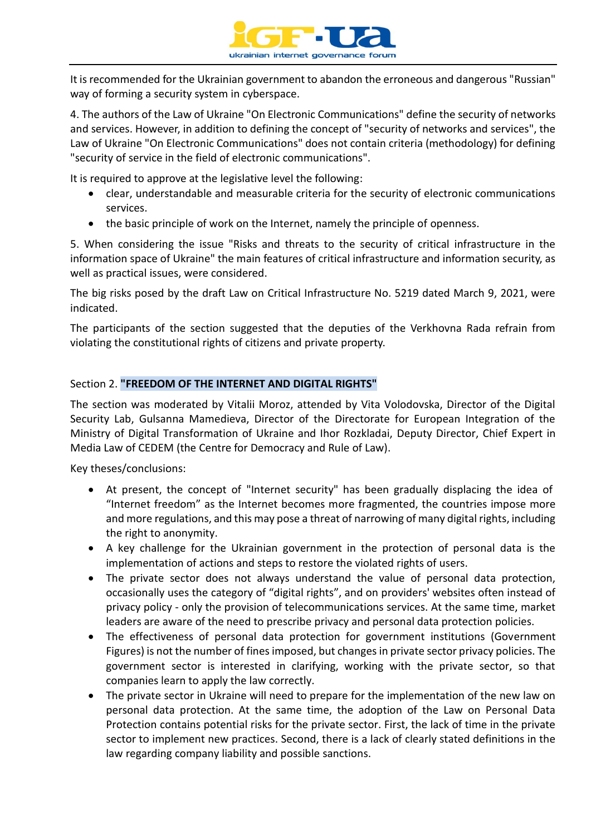

It is recommended for the Ukrainian government to abandon the erroneous and dangerous "Russian" way of forming a security system in cyberspace.

4. The authors of the Law of Ukraine "On Electronic Communications" define the security of networks and services. However, in addition to defining the concept of "security of networks and services", the Law of Ukraine "On Electronic Communications" does not contain criteria (methodology) for defining "security of service in the field of electronic communications".

It is required to approve at the legislative level the following:

- clear, understandable and measurable criteria for the security of electronic communications services.
- the basic principle of work on the Internet, namely the principle of openness.

5. When considering the issue "Risks and threats to the security of critical infrastructure in the information space of Ukraine" the main features of critical infrastructure and information security, as well as practical issues, were considered.

The big risks posed by the draft Law on Critical Infrastructure No. 5219 dated March 9, 2021, were indicated.

The participants of the section suggested that the deputies of the Verkhovna Rada refrain from violating the constitutional rights of citizens and private property.

#### Section 2. **"FREEDOM OF THE INTERNET AND DIGITAL RIGHTS"**

The section was moderated by Vitalii Moroz, attended by Vita Volodovska, Director of the Digital Security Lab, Gulsanna Mamedieva, Director of the Directorate for European Integration of the Ministry of Digital Transformation of Ukraine and Ihor Rozkladai, Deputy Director, Chief Expert in Media Law of CEDEM (the Centre for Democracy and Rule of Law).

Key theses/conclusions:

- At present, the concept of "Internet security" has been gradually displacing the idea of "Internet freedom" as the Internet becomes more fragmented, the countries impose more and more regulations, and this may pose a threat of narrowing of many digital rights, including the right to anonymity.
- A key challenge for the Ukrainian government in the protection of personal data is the implementation of actions and steps to restore the violated rights of users.
- The private sector does not always understand the value of personal data protection, occasionally uses the category of "digital rights", and on providers' websites often instead of privacy policy - only the provision of telecommunications services. At the same time, market leaders are aware of the need to prescribe privacy and personal data protection policies.
- The effectiveness of personal data protection for government institutions (Government Figures) is not the number of fines imposed, but changes in private sector privacy policies. The government sector is interested in clarifying, working with the private sector, so that companies learn to apply the law correctly.
- The private sector in Ukraine will need to prepare for the implementation of the new law on personal data protection. At the same time, the adoption of the Law on Personal Data Protection contains potential risks for the private sector. First, the lack of time in the private sector to implement new practices. Second, there is a lack of clearly stated definitions in the law regarding company liability and possible sanctions.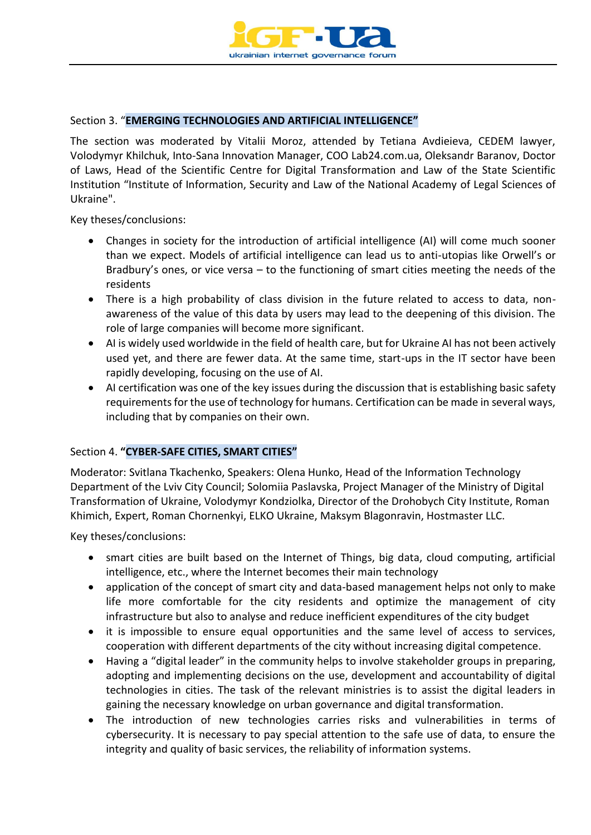

#### Section 3. "**EMERGING TECHNOLOGIES AND ARTIFICIAL INTELLIGENCE"**

The section was moderated by Vitalii Moroz, attended by Tetiana Avdieieva, CEDEM lawyer, Volodymyr Khilchuk, Into-Sana Innovation Manager, COO Lab24.com.ua, Oleksandr Baranov, Doctor of Laws, Head of the Scientific Centre for Digital Transformation and Law of the State Scientific Institution "Institute of Information, Security and Law of the National Academy of Legal Sciences of Ukraine".

Key theses/conclusions:

- Changes in society for the introduction of artificial intelligence (AI) will come much sooner than we expect. Models of artificial intelligence can lead us to anti-utopias like Orwell's or Bradbury's ones, or vice versa – to the functioning of smart cities meeting the needs of the residents
- There is a high probability of class division in the future related to access to data, nonawareness of the value of this data by users may lead to the deepening of this division. The role of large companies will become more significant.
- AI is widely used worldwide in the field of health care, but for Ukraine AI has not been actively used yet, and there are fewer data. At the same time, start-ups in the IT sector have been rapidly developing, focusing on the use of AI.
- AI certification was one of the key issues during the discussion that is establishing basic safety requirements for the use of technology for humans. Certification can be made in several ways, including that by companies on their own.

#### Section 4. **"CYBER-SAFE CITIES, SMART CITIES"**

Moderator: Svitlana Tkachenko, Speakers: Olena Hunko, Head of the Information Technology Department of the Lviv City Council; Solomiia Paslavska, Project Manager of the Ministry of Digital Transformation of Ukraine, Volodymyr Kondziolka, Director of the Drohobych City Institute, Roman Khimich, Expert, Roman Chornenkyi, ELKO Ukraine, Maksym Blagonravin, Hostmaster LLC.

Key theses/conclusions:

- smart cities are built based on the Internet of Things, big data, cloud computing, artificial intelligence, etc., where the Internet becomes their main technology
- application of the concept of smart city and data-based management helps not only to make life more comfortable for the city residents and optimize the management of city infrastructure but also to analyse and reduce inefficient expenditures of the city budget
- it is impossible to ensure equal opportunities and the same level of access to services, cooperation with different departments of the city without increasing digital competence.
- Having a "digital leader" in the community helps to involve stakeholder groups in preparing, adopting and implementing decisions on the use, development and accountability of digital technologies in cities. The task of the relevant ministries is to assist the digital leaders in gaining the necessary knowledge on urban governance and digital transformation.
- The introduction of new technologies carries risks and vulnerabilities in terms of cybersecurity. It is necessary to pay special attention to the safe use of data, to ensure the integrity and quality of basic services, the reliability of information systems.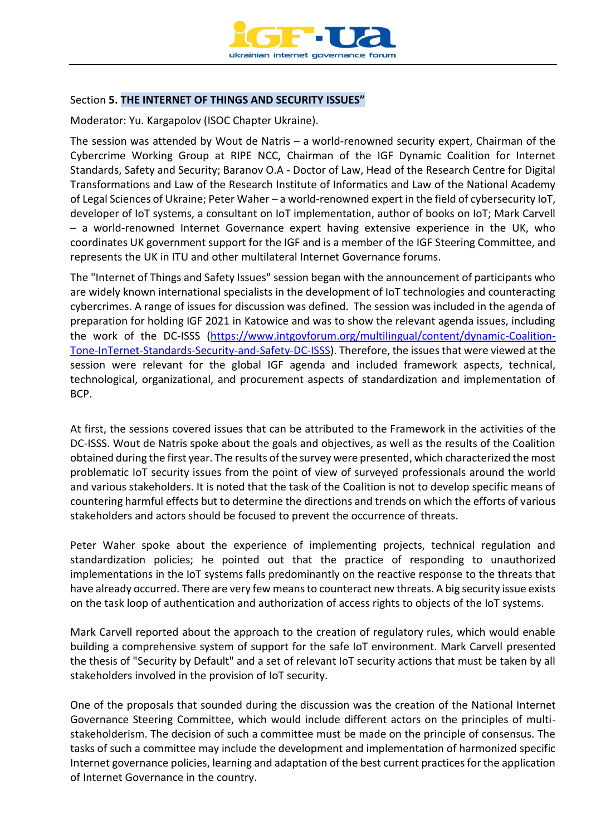

#### Section **5. THE INTERNET OF THINGS AND SECURITY ISSUES"**

Moderator: Yu. Kargapolov (ISOC Chapter Ukraine).

The session was attended by Wout de Natris – a world-renowned security expert, Chairman of the Cybercrime Working Group at RIPE NCC, Chairman of the IGF Dynamic Coalition for Internet Standards, Safety and Security; Baranov O.A - Doctor of Law, Head of the Research Centre for Digital Transformations and Law of the Research Institute of Informatics and Law of the National Academy of Legal Sciences of Ukraine; Peter Waher – a world-renowned expert in the field of cybersecurity IoT, developer of IoT systems, a consultant on IoT implementation, author of books on IoT; Mark Carvell – a world-renowned Internet Governance expert having extensive experience in the UK, who coordinates UK government support for the IGF and is a member of the IGF Steering Committee, and represents the UK in ITU and other multilateral Internet Governance forums.

The "Internet of Things and Safety Issues" session began with the announcement of participants who are widely known international specialists in the development of IoT technologies and counteracting cybercrimes. A range of issues for discussion was defined. The session was included in the agenda of preparation for holding IGF 2021 in Katowice and was to show the relevant agenda issues, including the work of the DC-ISSS [\(https://www.intgovforum.org/multilingual/content/dynamic-Coalition-](https://www.intgovforum.org/multilingual/content/dynamic-Coalition-Tone-InTernet-Standards-Security-and-Safety-DC-ISSS)[Tone-InTernet-Standards-Security-and-Safety-DC-ISSS\)](https://www.intgovforum.org/multilingual/content/dynamic-Coalition-Tone-InTernet-Standards-Security-and-Safety-DC-ISSS). Therefore, the issues that were viewed at the session were relevant for the global IGF agenda and included framework aspects, technical, technological, organizational, and procurement aspects of standardization and implementation of BCP.

At first, the sessions covered issues that can be attributed to the Framework in the activities of the DC-ISSS. Wout de Natris spoke about the goals and objectives, as well as the results of the Coalition obtained during the first year. The results of the survey were presented, which characterized the most problematic IoT security issues from the point of view of surveyed professionals around the world and various stakeholders. It is noted that the task of the Coalition is not to develop specific means of countering harmful effects but to determine the directions and trends on which the efforts of various stakeholders and actors should be focused to prevent the occurrence of threats.

Peter Waher spoke about the experience of implementing projects, technical regulation and standardization policies; he pointed out that the practice of responding to unauthorized implementations in the IoT systems falls predominantly on the reactive response to the threats that have already occurred. There are very few means to counteract new threats. A big security issue exists on the task loop of authentication and authorization of access rights to objects of the IoT systems.

Mark Carvell reported about the approach to the creation of regulatory rules, which would enable building a comprehensive system of support for the safe IoT environment. Mark Carvell presented the thesis of "Security by Default" and a set of relevant IoT security actions that must be taken by all stakeholders involved in the provision of IoT security.

One of the proposals that sounded during the discussion was the creation of the National Internet Governance Steering Committee, which would include different actors on the principles of multistakeholderism. The decision of such a committee must be made on the principle of consensus. The tasks of such a committee may include the development and implementation of harmonized specific Internet governance policies, learning and adaptation of the best current practices for the application of Internet Governance in the country.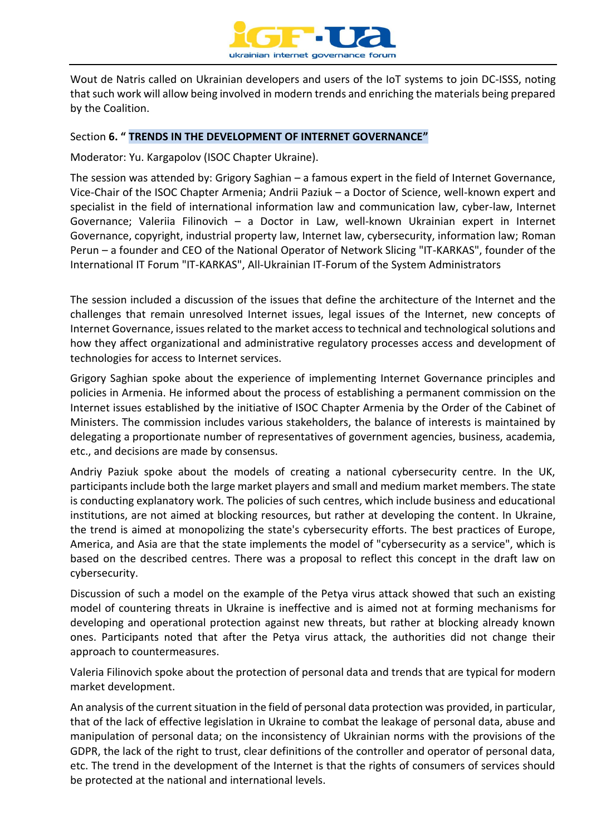

Wout de Natris called on Ukrainian developers and users of the IoT systems to join DC-ISSS, noting that such work will allow being involved in modern trends and enriching the materials being prepared by the Coalition.

#### Section **6. " TRENDS IN THE DEVELOPMENT OF INTERNET GOVERNANCE"**

Moderator: Yu. Kargapolov (ISOC Chapter Ukraine).

The session was attended by: Grigory Saghian – a famous expert in the field of Internet Governance, Vice-Chair of the ISOC Chapter Armenia; Andrii Paziuk – a Doctor of Science, well-known expert and specialist in the field of international information law and communication law, cyber-law, Internet Governance; Valeriia Filinovich – a Doctor in Law, well-known Ukrainian expert in Internet Governance, copyright, industrial property law, Internet law, cybersecurity, information law; Roman Perun – a founder and CEO of the National Operator of Network Slicing "IT-KARKAS", founder of the International IT Forum "IT-KARKAS", All-Ukrainian IT-Forum of the System Administrators

The session included a discussion of the issues that define the architecture of the Internet and the challenges that remain unresolved Internet issues, legal issues of the Internet, new concepts of Internet Governance, issues related to the market access to technical and technological solutions and how they affect organizational and administrative regulatory processes access and development of technologies for access to Internet services.

Grigory Saghian spoke about the experience of implementing Internet Governance principles and policies in Armenia. He informed about the process of establishing a permanent commission on the Internet issues established by the initiative of ISOC Chapter Armenia by the Order of the Cabinet of Ministers. The commission includes various stakeholders, the balance of interests is maintained by delegating a proportionate number of representatives of government agencies, business, academia, etc., and decisions are made by consensus.

Andriy Paziuk spoke about the models of creating a national cybersecurity centre. In the UK, participants include both the large market players and small and medium market members. The state is conducting explanatory work. The policies of such centres, which include business and educational institutions, are not aimed at blocking resources, but rather at developing the content. In Ukraine, the trend is aimed at monopolizing the state's cybersecurity efforts. The best practices of Europe, America, and Asia are that the state implements the model of "cybersecurity as a service", which is based on the described centres. There was a proposal to reflect this concept in the draft law on cybersecurity.

Discussion of such a model on the example of the Petya virus attack showed that such an existing model of countering threats in Ukraine is ineffective and is aimed not at forming mechanisms for developing and operational protection against new threats, but rather at blocking already known ones. Participants noted that after the Petya virus attack, the authorities did not change their approach to countermeasures.

Valeria Filinovich spoke about the protection of personal data and trends that are typical for modern market development.

An analysis of the current situation in the field of personal data protection was provided, in particular, that of the lack of effective legislation in Ukraine to combat the leakage of personal data, abuse and manipulation of personal data; on the inconsistency of Ukrainian norms with the provisions of the GDPR, the lack of the right to trust, clear definitions of the controller and operator of personal data, etc. The trend in the development of the Internet is that the rights of consumers of services should be protected at the national and international levels.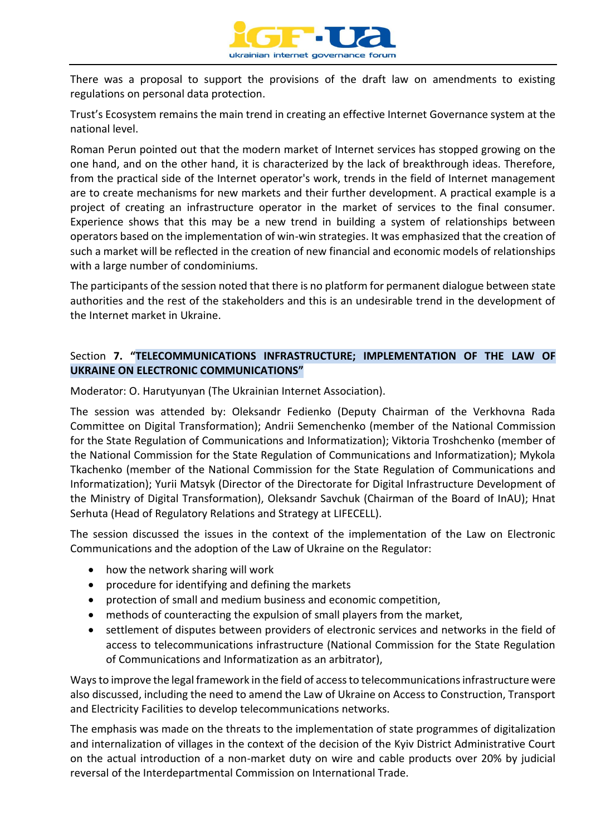

There was a proposal to support the provisions of the draft law on amendments to existing regulations on personal data protection.

Trust's Ecosystem remains the main trend in creating an effective Internet Governance system at the national level.

Roman Perun pointed out that the modern market of Internet services has stopped growing on the one hand, and on the other hand, it is characterized by the lack of breakthrough ideas. Therefore, from the practical side of the Internet operator's work, trends in the field of Internet management are to create mechanisms for new markets and their further development. A practical example is a project of creating an infrastructure operator in the market of services to the final consumer. Experience shows that this may be a new trend in building a system of relationships between operators based on the implementation of win-win strategies. It was emphasized that the creation of such a market will be reflected in the creation of new financial and economic models of relationships with a large number of condominiums.

The participants of the session noted that there is no platform for permanent dialogue between state authorities and the rest of the stakeholders and this is an undesirable trend in the development of the Internet market in Ukraine.

#### Section **7. "TELECOMMUNICATIONS INFRASTRUCTURE; IMPLEMENTATION OF THE LAW OF UKRAINE ON ELECTRONIC COMMUNICATIONS"**

Moderator: O. Harutyunyan (The Ukrainian Internet Association).

The session was attended by: Oleksandr Fedienko (Deputy Chairman of the Verkhovna Rada Committee on Digital Transformation); Andrii Semenchenko (member of the National Commission for the State Regulation of Communications and Informatization); Viktoria Troshchenko (member of the National Commission for the State Regulation of Communications and Informatization); Mykola Tkachenko (member of the National Commission for the State Regulation of Communications and Informatization); Yurii Matsyk (Director of the Directorate for Digital Infrastructure Development of the Ministry of Digital Transformation), Oleksandr Savchuk (Chairman of the Board of InAU); Hnat Serhuta (Head of Regulatory Relations and Strategy at LIFECELL).

The session discussed the issues in the context of the implementation of the Law on Electronic Communications and the adoption of the Law of Ukraine on the Regulator:

- how the network sharing will work
- procedure for identifying and defining the markets
- protection of small and medium business and economic competition,
- methods of counteracting the expulsion of small players from the market,
- settlement of disputes between providers of electronic services and networks in the field of access to telecommunications infrastructure (National Commission for the State Regulation of Communications and Informatization as an arbitrator),

Ways to improve the legal framework in the field of access to telecommunications infrastructure were also discussed, including the need to amend the Law of Ukraine on Access to Construction, Transport and Electricity Facilities to develop telecommunications networks.

The emphasis was made on the threats to the implementation of state programmes of digitalization and internalization of villages in the context of the decision of the Kyiv District Administrative Court on the actual introduction of a non-market duty on wire and cable products over 20% by judicial reversal of the Interdepartmental Commission on International Trade.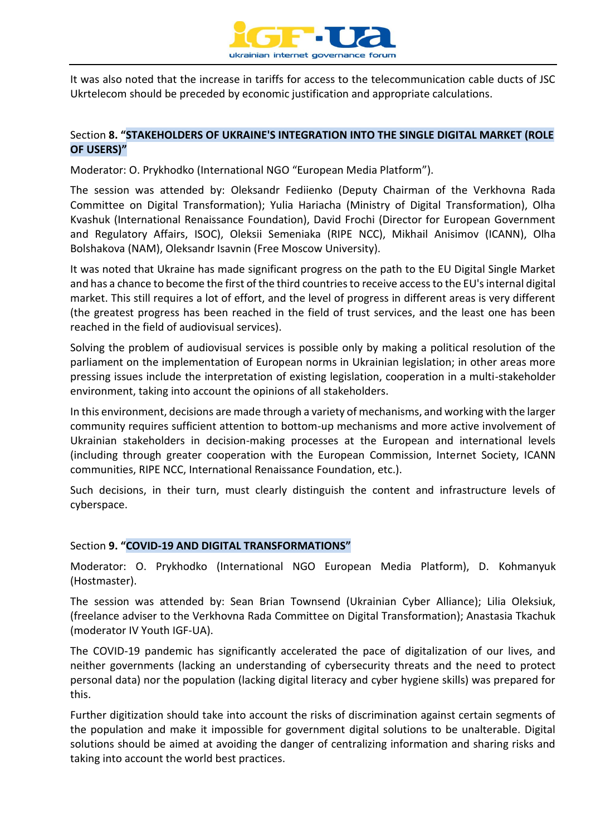

It was also noted that the increase in tariffs for access to the telecommunication cable ducts of JSC Ukrtelecom should be preceded by economic justification and appropriate calculations.

#### Section **8. "STAKEHOLDERS OF UKRAINE'S INTEGRATION INTO THE SINGLE DIGITAL MARKET (ROLE OF USERS)"**

Moderator: O. Prykhodko (International NGO "European Media Platform").

The session was attended by: Oleksandr Fediienko (Deputy Chairman of the Verkhovna Rada Committee on Digital Transformation); Yulia Hariacha (Ministry of Digital Transformation), Olha Kvashuk (International Renaissance Foundation), David Frochi (Director for European Government and Regulatory Affairs, ISOC), Oleksii Semeniaka (RIPE NCC), Mikhail Anisimov (ICANN), Olha Bolshakova (NAM), Oleksandr Isavnin (Free Moscow University).

It was noted that Ukraine has made significant progress on the path to the EU Digital Single Market and has a chance to become the first of the third countries to receive access to the EU's internal digital market. This still requires a lot of effort, and the level of progress in different areas is very different (the greatest progress has been reached in the field of trust services, and the least one has been reached in the field of audiovisual services).

Solving the problem of audiovisual services is possible only by making a political resolution of the parliament on the implementation of European norms in Ukrainian legislation; in other areas more pressing issues include the interpretation of existing legislation, cooperation in a multi-stakeholder environment, taking into account the opinions of all stakeholders.

In this environment, decisions are made through a variety of mechanisms, and working with the larger community requires sufficient attention to bottom-up mechanisms and more active involvement of Ukrainian stakeholders in decision-making processes at the European and international levels (including through greater cooperation with the European Commission, Internet Society, ICANN communities, RIPE NCC, International Renaissance Foundation, etc.).

Such decisions, in their turn, must clearly distinguish the content and infrastructure levels of cyberspace.

#### Section **9. "COVID-19 AND DIGITAL TRANSFORMATIONS"**

Moderator: O. Prykhodko (International NGO European Media Platform), D. Kohmanyuk (Hostmaster).

The session was attended by: Sean Brian Townsend (Ukrainian Cyber Alliance); Lilia Oleksiuk, (freelance adviser to the Verkhovna Rada Committee on Digital Transformation); Anastasia Tkachuk (moderator IV Youth IGF-UA).

The COVID-19 pandemic has significantly accelerated the pace of digitalization of our lives, and neither governments (lacking an understanding of cybersecurity threats and the need to protect personal data) nor the population (lacking digital literacy and cyber hygiene skills) was prepared for this.

Further digitization should take into account the risks of discrimination against certain segments of the population and make it impossible for government digital solutions to be unalterable. Digital solutions should be aimed at avoiding the danger of centralizing information and sharing risks and taking into account the world best practices.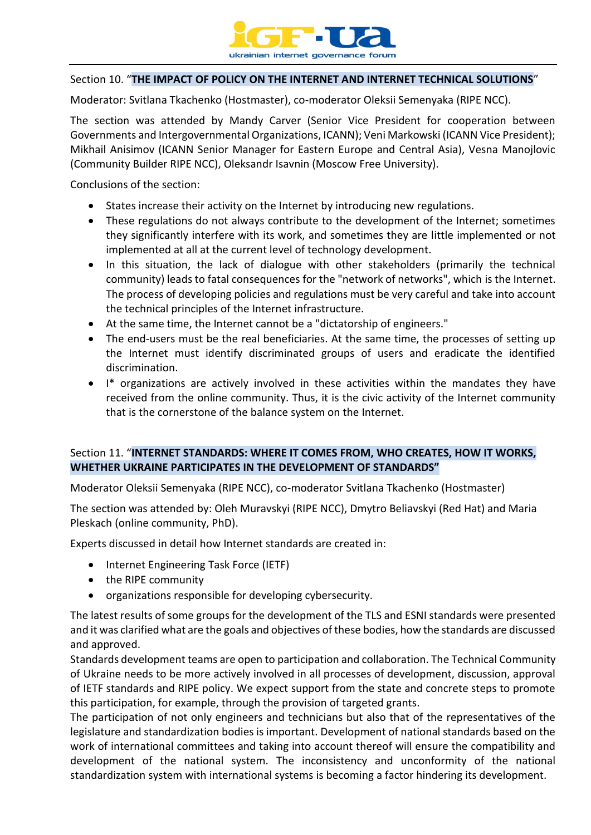

#### Section 10. "**THE IMPACT OF POLICY ON THE INTERNET AND INTERNET TECHNICAL SOLUTIONS**"

Moderator: Svitlana Tkachenko (Hostmaster), co-moderator Oleksii Semenyaka (RIPE NCC).

The section was attended by Mandy Carver (Senior Vice President for cooperation between Governments and Intergovernmental Organizations, ICANN); Veni Markowski (ICANN Vice President); Mikhail Anisimov (ICANN Senior Manager for Eastern Europe and Central Asia), Vesna Manojlovic (Community Builder RIPE NCC), Oleksandr Isavnin (Moscow Free University).

Conclusions of the section:

- States increase their activity on the Internet by introducing new regulations.
- These regulations do not always contribute to the development of the Internet; sometimes they significantly interfere with its work, and sometimes they are little implemented or not implemented at all at the current level of technology development.
- In this situation, the lack of dialogue with other stakeholders (primarily the technical community) leads to fatal consequences for the "network of networks", which is the Internet. The process of developing policies and regulations must be very careful and take into account the technical principles of the Internet infrastructure.
- At the same time, the Internet cannot be a "dictatorship of engineers."
- The end-users must be the real beneficiaries. At the same time, the processes of setting up the Internet must identify discriminated groups of users and eradicate the identified discrimination.
- I\* organizations are actively involved in these activities within the mandates they have received from the online community. Thus, it is the civic activity of the Internet community that is the cornerstone of the balance system on the Internet.

#### Section 11. "**INTERNET STANDARDS: WHERE IT COMES FROM, WHO CREATES, HOW IT WORKS, WHETHER UKRAINE PARTICIPATES IN THE DEVELOPMENT OF STANDARDS"**

Moderator Oleksii Semenyaka (RIPE NCC), co-moderator Svitlana Tkachenko (Hostmaster)

The section was attended by: Oleh Muravskyi (RIPE NCC), Dmytro Beliavskyi (Red Hat) and Maria Pleskach (online community, PhD).

Experts discussed in detail how Internet standards are created in:

- Internet Engineering Task Force (IETF)
- the RIPE community
- organizations responsible for developing cybersecurity.

The latest results of some groups for the development of the TLS and ESNI standards were presented and it was clarified what are the goals and objectives of these bodies, how the standards are discussed and approved.

Standards development teams are open to participation and collaboration. The Technical Community of Ukraine needs to be more actively involved in all processes of development, discussion, approval of IETF standards and RIPE policy. We expect support from the state and concrete steps to promote this participation, for example, through the provision of targeted grants.

The participation of not only engineers and technicians but also that of the representatives of the legislature and standardization bodies is important. Development of national standards based on the work of international committees and taking into account thereof will ensure the compatibility and development of the national system. The inconsistency and unconformity of the national standardization system with international systems is becoming a factor hindering its development.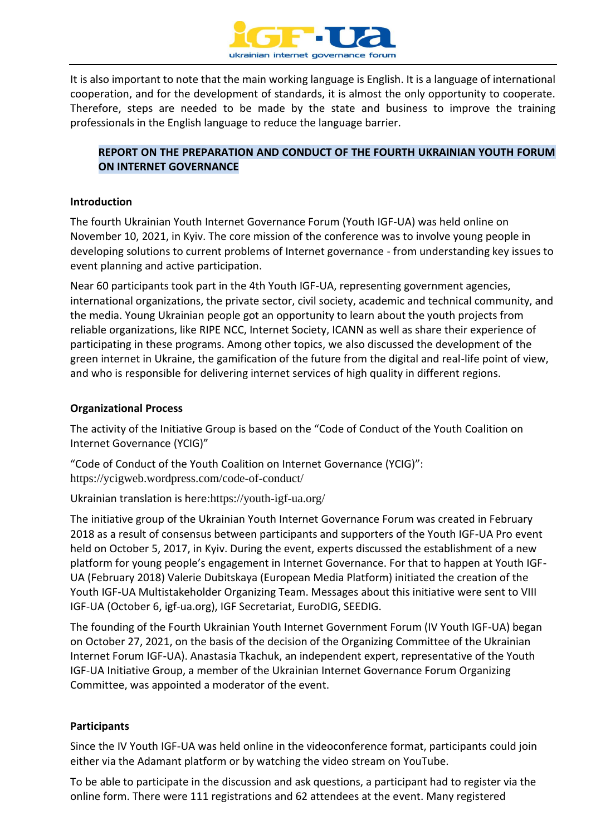

It is also important to note that the main working language is English. It is a language of international cooperation, and for the development of standards, it is almost the only opportunity to cooperate. Therefore, steps are needed to be made by the state and business to improve the training professionals in the English language to reduce the language barrier.

#### **REPORT ON THE PREPARATION AND CONDUCT OF THE FOURTH UKRAINIAN YOUTH FORUM ON INTERNET GOVERNANCE**

#### **Introduction**

The fourth Ukrainian Youth Internet Governance Forum (Youth IGF-UA) was held online on November 10, 2021, in Kyiv. The core mission of the conference was to involve young people in developing solutions to current problems of Internet governance - from understanding key issues to event planning and active participation.

Near 60 participants took part in the 4th Youth IGF-UA, representing government agencies, international organizations, the private sector, civil society, academic and technical community, and the media. Young Ukrainian people got an opportunity to learn about the youth projects from reliable organizations, like RIPE NCC, Internet Society, ICANN as well as share their experience of participating in these programs. Among other topics, we also discussed the development of the green internet in Ukraine, the gamification of the future from the digital and real-life point of view, and who is responsible for delivering internet services of high quality in different regions.

#### **Organizational Process**

The activity of the Initiative Group is based on the "Code of Conduct of the Youth Coalition on Internet Governance (YCIG)"

"Code of Conduct of the Youth Coalition on Internet Governance (YCIG)": <https://ycigweb.wordpress.com/code-of-conduct/>

Ukrainian translation is here:<https://youth-igf-ua.org/>

The initiative group of the Ukrainian Youth Internet Governance Forum was created in February 2018 as a result of consensus between participants and supporters of the Youth IGF-UA Pro event held on October 5, 2017, in Kyiv. During the event, experts discussed the establishment of a new platform for young people's engagement in Internet Governance. For that to happen at Youth IGF-UA (February 2018) Valerie Dubitskaya (European Media Platform) initiated the creation of the Youth IGF-UA Multistakeholder Organizing Team. Messages about this initiative were sent to VIII IGF-UA (October 6, igf-ua.org), IGF Secretariat, EuroDIG, SEEDIG.

The founding of the Fourth Ukrainian Youth Internet Government Forum (IV Youth IGF-UA) began on October 27, 2021, on the basis of the decision of the Organizing Committee of the Ukrainian Internet Forum IGF-UA). Anastasia Tkachuk, an independent expert, representative of the Youth IGF-UA Initiative Group, a member of the Ukrainian Internet Governance Forum Organizing Committee, was appointed a moderator of the event.

#### **Participants**

Since the IV Youth IGF-UA was held online in the videoconference format, participants could join either via the Adamant platform or by watching the video stream on YouTube.

To be able to participate in the discussion and ask questions, a participant had to register via the online form. There were 111 registrations and 62 attendees at the event. Many registered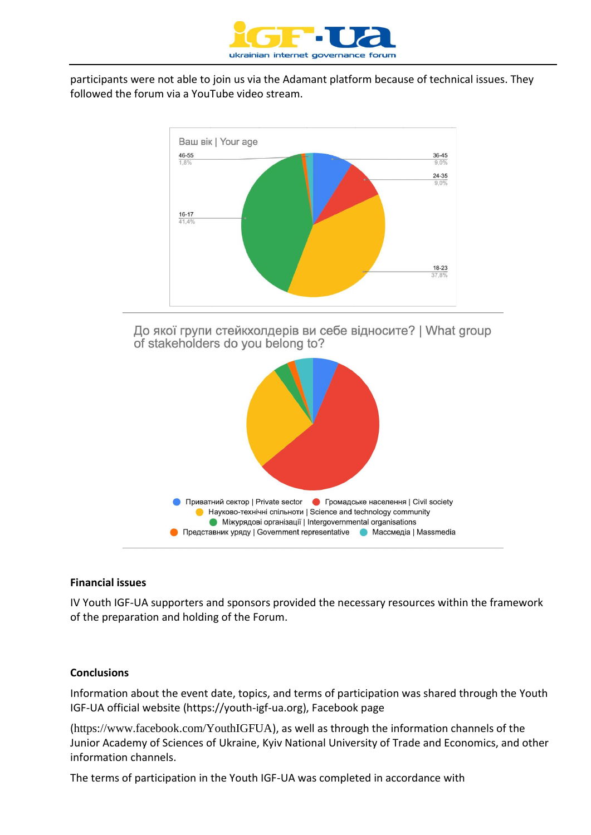

participants were not able to join us via the Adamant platform because of technical issues. They followed the forum via a YouTube video stream.



До якої групи стейкхолдерів ви себе відносите? | What group of stakeholders do you belong to?



#### **Financial issues**

IV Youth IGF-UA supporters and sponsors provided the necessary resources within the framework of the preparation and holding of the Forum.

#### **Conclusions**

Information about the event date, topics, and terms of participation was shared through the Youth IGF-UA official website (https://youth-igf-ua.org), Facebook page

(<https://www.facebook.com/YouthIGFUA>), as well as through the information channels of the Junior Academy of Sciences of Ukraine, Kyiv National University of Trade and Economics, and other information channels.

The terms of participation in the Youth IGF-UA was completed in accordance with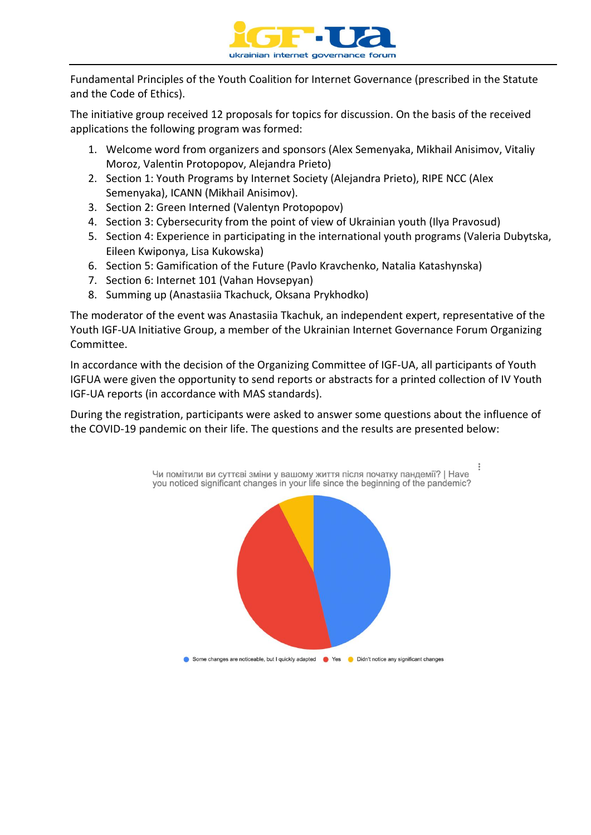

Fundamental Principles of the Youth Coalition for Internet Governance (prescribed in the Statute and the Code of Ethics).

The initiative group received 12 proposals for topics for discussion. On the basis of the received applications the following program was formed:

- 1. Welcome word from organizers and sponsors (Alex Semenyaka, Mikhail Anisimov, Vitaliy Moroz, Valentin Protopopov, Alejandra Prieto)
- 2. Section 1: Youth Programs by Internet Society (Alejandra Prieto), RIPE NCC (Alex Semenyaka), ICANN (Mikhail Anisimov).
- 3. Section 2: Green Interned (Valentyn Protopopov)
- 4. Section 3: Cybersecurity from the point of view of Ukrainian youth (Ilya Pravosud)
- 5. Section 4: Experience in participating in the international youth programs (Valeria Dubytska, Eileen Kwiponya, Lisa Kukowska)
- 6. Section 5: Gamification of the Future (Pavlo Kravchenko, Natalia Katashynska)
- 7. Section 6: Internet 101 (Vahan Hovsepyan)
- 8. Summing up (Anastasiia Tkachuck, Oksana Prykhodko)

The moderator of the event was Anastasiia Tkachuk, an independent expert, representative of the Youth IGF-UA Initiative Group, a member of the Ukrainian Internet Governance Forum Organizing Committee.

In accordance with the decision of the Organizing Committee of IGF-UA, all participants of Youth IGFUA were given the opportunity to send reports or abstracts for a printed collection of IV Youth IGF-UA reports (in accordance with MAS standards).

During the registration, participants were asked to answer some questions about the influence of the COVID-19 pandemic on their life. The questions and the results are presented below:

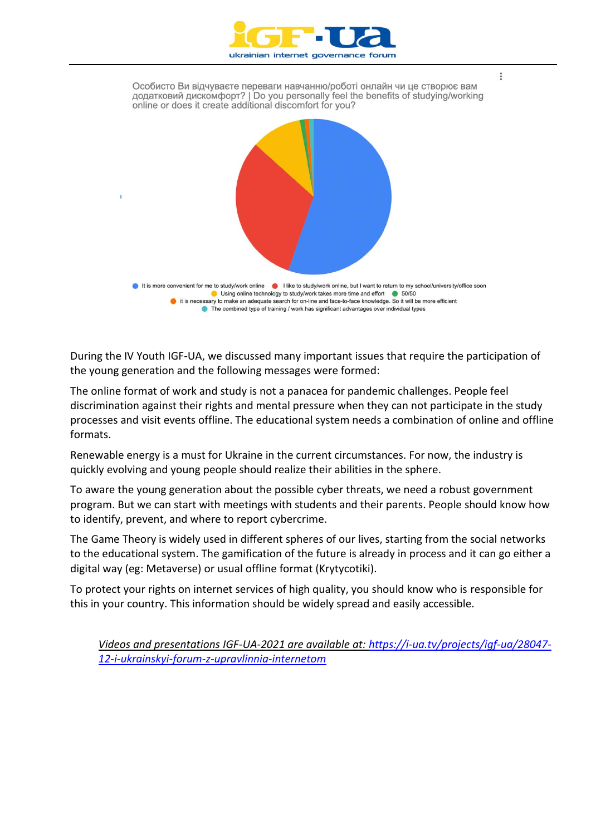

Особисто Ви відчуваєте переваги навчанню/роботі онлайн чи це створює вам додатковий дискомфорт? | Do you personally feel the benefits of studying/working online or does it create additional discomfort for you? I it is more convenient for me to study/work online I like to study/work online, but I want to return to my school/university/office soon Using online technology to study/work takes more time and effort @ 50/50 it is necessary to make an adequate search for on-line and face-to-face knowledge. So it will be more efficient ● The combined type of training / work has significant advantages over individual types

During the IV Youth IGF-UA, we discussed many important issues that require the participation of the young generation and the following messages were formed:

The online format of work and study is not a panacea for pandemic challenges. People feel discrimination against their rights and mental pressure when they can not participate in the study processes and visit events offline. The educational system needs a combination of online and offline formats.

Renewable energy is a must for Ukraine in the current circumstances. For now, the industry is quickly evolving and young people should realize their abilities in the sphere.

To aware the young generation about the possible cyber threats, we need a robust government program. But we can start with meetings with students and their parents. People should know how to identify, prevent, and where to report cybercrime.

The Game Theory is widely used in different spheres of our lives, starting from the social networks to the educational system. The gamification of the future is already in process and it can go either a digital way (eg: Metaverse) or usual offline format (Krytycotiki).

To protect your rights on internet services of high quality, you should know who is responsible for this in your country. This information should be widely spread and easily accessible.

*Videos and presentations IGF-UA-2021 are available at: [https://i-ua.tv/projects/igf-ua/28047-](https://i-ua.tv/projects/igf-ua/28047-12-i-ukrainskyi-forum-z-upravlinnia-internetom) [12-i-ukrainskyi-forum-z-upravlinnia-internetom](https://i-ua.tv/projects/igf-ua/28047-12-i-ukrainskyi-forum-z-upravlinnia-internetom)*

 $\overset{\circ}{\circ}$